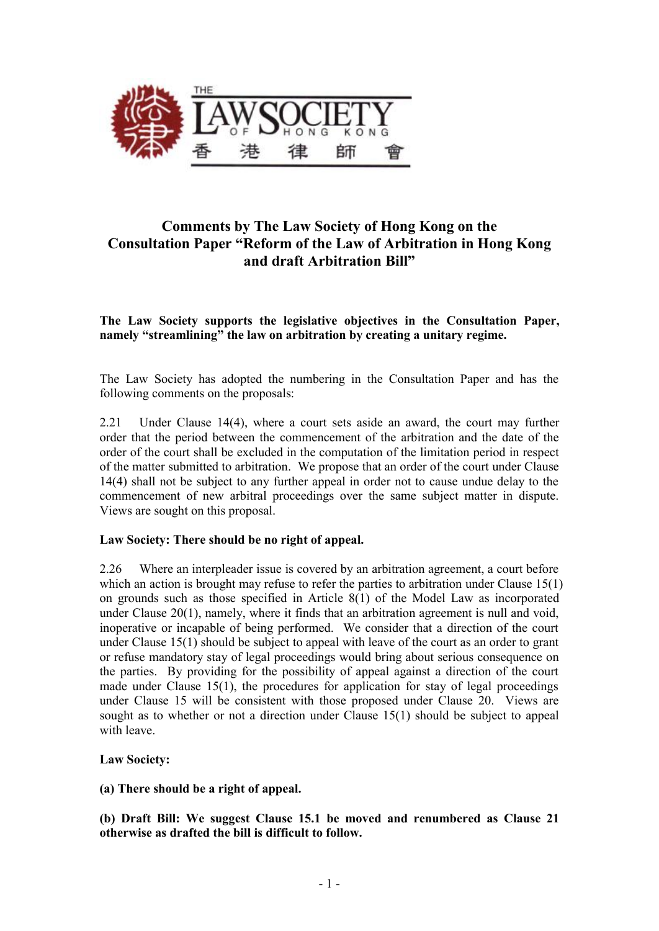

# **Comments by The Law Society of Hong Kong on the Consultation Paper "Reform of the Law of Arbitration in Hong Kong and draft Arbitration Bill"**

## **The Law Society supports the legislative objectives in the Consultation Paper, namely "streamlining" the law on arbitration by creating a unitary regime.**

The Law Society has adopted the numbering in the Consultation Paper and has the following comments on the proposals:

2.21 Under Clause 14(4), where a court sets aside an award, the court may further order that the period between the commencement of the arbitration and the date of the order of the court shall be excluded in the computation of the limitation period in respect of the matter submitted to arbitration. We propose that an order of the court under Clause 14(4) shall not be subject to any further appeal in order not to cause undue delay to the commencement of new arbitral proceedings over the same subject matter in dispute. Views are sought on this proposal.

#### **Law Society: There should be no right of appeal.**

2.26 Where an interpleader issue is covered by an arbitration agreement, a court before which an action is brought may refuse to refer the parties to arbitration under Clause 15(1) on grounds such as those specified in Article 8(1) of the Model Law as incorporated under Clause 20(1), namely, where it finds that an arbitration agreement is null and void, inoperative or incapable of being performed. We consider that a direction of the court under Clause 15(1) should be subject to appeal with leave of the court as an order to grant or refuse mandatory stay of legal proceedings would bring about serious consequence on the parties. By providing for the possibility of appeal against a direction of the court made under Clause 15(1), the procedures for application for stay of legal proceedings under Clause 15 will be consistent with those proposed under Clause 20. Views are sought as to whether or not a direction under Clause 15(1) should be subject to appeal with leave.

#### **Law Society:**

#### **(a) There should be a right of appeal.**

**(b) Draft Bill: We suggest Clause 15.1 be moved and renumbered as Clause 21 otherwise as drafted the bill is difficult to follow.**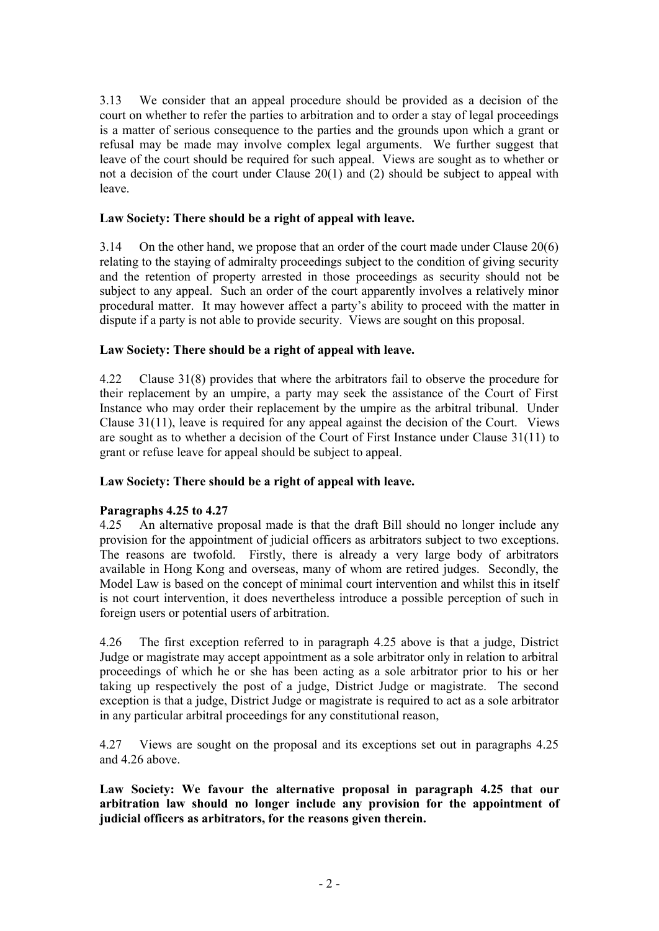3.13 We consider that an appeal procedure should be provided as a decision of the court on whether to refer the parties to arbitration and to order a stay of legal proceedings is a matter of serious consequence to the parties and the grounds upon which a grant or refusal may be made may involve complex legal arguments. We further suggest that leave of the court should be required for such appeal. Views are sought as to whether or not a decision of the court under Clause 20(1) and (2) should be subject to appeal with leave.

## **Law Society: There should be a right of appeal with leave.**

3.14 On the other hand, we propose that an order of the court made under Clause 20(6) relating to the staying of admiralty proceedings subject to the condition of giving security and the retention of property arrested in those proceedings as security should not be subject to any appeal. Such an order of the court apparently involves a relatively minor procedural matter. It may however affect a party's ability to proceed with the matter in dispute if a party is not able to provide security. Views are sought on this proposal.

## **Law Society: There should be a right of appeal with leave.**

4.22 Clause 31(8) provides that where the arbitrators fail to observe the procedure for their replacement by an umpire, a party may seek the assistance of the Court of First Instance who may order their replacement by the umpire as the arbitral tribunal. Under Clause 31(11), leave is required for any appeal against the decision of the Court.Views are sought as to whether a decision of the Court of First Instance under Clause 31(11) to grant or refuse leave for appeal should be subject to appeal.

## **Law Society: There should be a right of appeal with leave.**

#### **Paragraphs 4.25 to 4.27**

4.25 An alternative proposal made is that the draft Bill should no longer include any provision for the appointment of judicial officers as arbitrators subject to two exceptions. The reasons are twofold. Firstly, there is already a very large body of arbitrators available in Hong Kong and overseas, many of whom are retired judges. Secondly, the Model Law is based on the concept of minimal court intervention and whilst this in itself is not court intervention, it does nevertheless introduce a possible perception of such in foreign users or potential users of arbitration.

4.26 The first exception referred to in paragraph 4.25 above is that a judge, District Judge or magistrate may accept appointment as a sole arbitrator only in relation to arbitral proceedings of which he or she has been acting as a sole arbitrator prior to his or her taking up respectively the post of a judge, District Judge or magistrate. The second exception is that a judge, District Judge or magistrate is required to act as a sole arbitrator in any particular arbitral proceedings for any constitutional reason,

4.27 Views are sought on the proposal and its exceptions set out in paragraphs 4.25 and 4.26 above.

**Law Society: We favour the alternative proposal in paragraph 4.25 that our arbitration law should no longer include any provision for the appointment of judicial officers as arbitrators, for the reasons given therein.**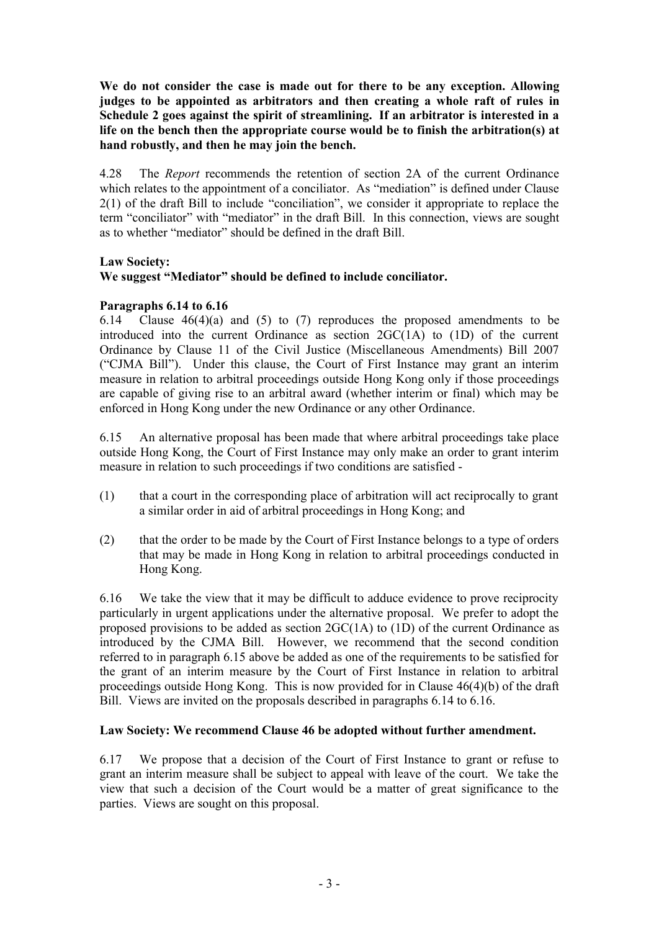**We do not consider the case is made out for there to be any exception. Allowing judges to be appointed as arbitrators and then creating a whole raft of rules in Schedule 2 goes against the spirit of streamlining. If an arbitrator is interested in a life on the bench then the appropriate course would be to finish the arbitration(s) at hand robustly, and then he may join the bench.** 

4.28 The *Report* recommends the retention of section 2A of the current Ordinance which relates to the appointment of a conciliator. As "mediation" is defined under Clause 2(1) of the draft Bill to include "conciliation", we consider it appropriate to replace the term "conciliator" with "mediator" in the draft Bill. In this connection, views are sought as to whether "mediator" should be defined in the draft Bill.

## **Law Society:**

## **We suggest "Mediator" should be defined to include conciliator.**

## **Paragraphs 6.14 to 6.16**

6.14 Clause  $46(4)(a)$  and (5) to (7) reproduces the proposed amendments to be introduced into the current Ordinance as section  $2GC(1A)$  to  $(1D)$  of the current Ordinance by Clause 11 of the Civil Justice (Miscellaneous Amendments) Bill 2007 ("CJMA Bill"). Under this clause, the Court of First Instance may grant an interim measure in relation to arbitral proceedings outside Hong Kong only if those proceedings are capable of giving rise to an arbitral award (whether interim or final) which may be enforced in Hong Kong under the new Ordinance or any other Ordinance.

6.15 An alternative proposal has been made that where arbitral proceedings take place outside Hong Kong, the Court of First Instance may only make an order to grant interim measure in relation to such proceedings if two conditions are satisfied -

- (1) that a court in the corresponding place of arbitration will act reciprocally to grant a similar order in aid of arbitral proceedings in Hong Kong; and
- (2) that the order to be made by the Court of First Instance belongs to a type of orders that may be made in Hong Kong in relation to arbitral proceedings conducted in Hong Kong.

6.16 We take the view that it may be difficult to adduce evidence to prove reciprocity particularly in urgent applications under the alternative proposal. We prefer to adopt the proposed provisions to be added as section 2GC(1A) to (1D) of the current Ordinance as introduced by the CJMA Bill. However, we recommend that the second condition referred to in paragraph 6.15 above be added as one of the requirements to be satisfied for the grant of an interim measure by the Court of First Instance in relation to arbitral proceedings outside Hong Kong. This is now provided for in Clause 46(4)(b) of the draft Bill.Views are invited on the proposals described in paragraphs 6.14 to 6.16.

#### **Law Society: We recommend Clause 46 be adopted without further amendment.**

6.17 We propose that a decision of the Court of First Instance to grant or refuse to grant an interim measure shall be subject to appeal with leave of the court. We take the view that such a decision of the Court would be a matter of great significance to the parties. Views are sought on this proposal.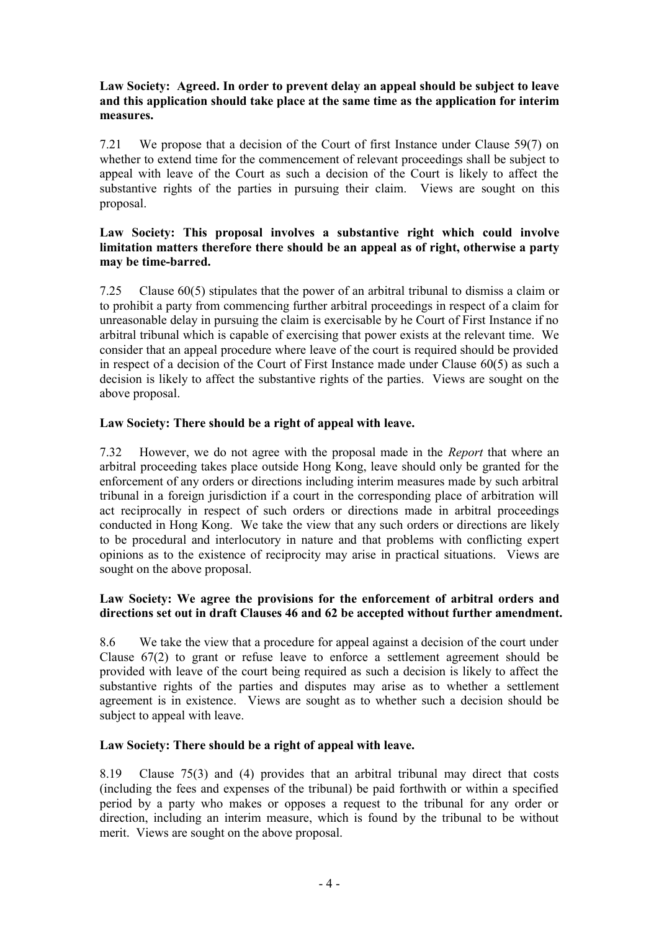## **Law Society: Agreed. In order to prevent delay an appeal should be subject to leave and this application should take place at the same time as the application for interim measures.**

7.21 We propose that a decision of the Court of first Instance under Clause 59(7) on whether to extend time for the commencement of relevant proceedings shall be subject to appeal with leave of the Court as such a decision of the Court is likely to affect the substantive rights of the parties in pursuing their claim.Views are sought on this proposal.

### **Law Society: This proposal involves a substantive right which could involve limitation matters therefore there should be an appeal as of right, otherwise a party may be time-barred.**

7.25 Clause 60(5) stipulates that the power of an arbitral tribunal to dismiss a claim or to prohibit a party from commencing further arbitral proceedings in respect of a claim for unreasonable delay in pursuing the claim is exercisable by he Court of First Instance if no arbitral tribunal which is capable of exercising that power exists at the relevant time. We consider that an appeal procedure where leave of the court is required should be provided in respect of a decision of the Court of First Instance made under Clause 60(5) as such a decision is likely to affect the substantive rights of the parties. Views are sought on the above proposal.

## **Law Society: There should be a right of appeal with leave.**

7.32 However, we do not agree with the proposal made in the *Report* that where an arbitral proceeding takes place outside Hong Kong, leave should only be granted for the enforcement of any orders or directions including interim measures made by such arbitral tribunal in a foreign jurisdiction if a court in the corresponding place of arbitration will act reciprocally in respect of such orders or directions made in arbitral proceedings conducted in Hong Kong. We take the view that any such orders or directions are likely to be procedural and interlocutory in nature and that problems with conflicting expert opinions as to the existence of reciprocity may arise in practical situations.Views are sought on the above proposal.

## **Law Society: We agree the provisions for the enforcement of arbitral orders and directions set out in draft Clauses 46 and 62 be accepted without further amendment.**

8.6 We take the view that a procedure for appeal against a decision of the court under Clause 67(2) to grant or refuse leave to enforce a settlement agreement should be provided with leave of the court being required as such a decision is likely to affect the substantive rights of the parties and disputes may arise as to whether a settlement agreement is in existence.Views are sought as to whether such a decision should be subject to appeal with leave.

## **Law Society: There should be a right of appeal with leave.**

8.19 Clause 75(3) and (4) provides that an arbitral tribunal may direct that costs (including the fees and expenses of the tribunal) be paid forthwith or within a specified period by a party who makes or opposes a request to the tribunal for any order or direction, including an interim measure, which is found by the tribunal to be without merit.Views are sought on the above proposal.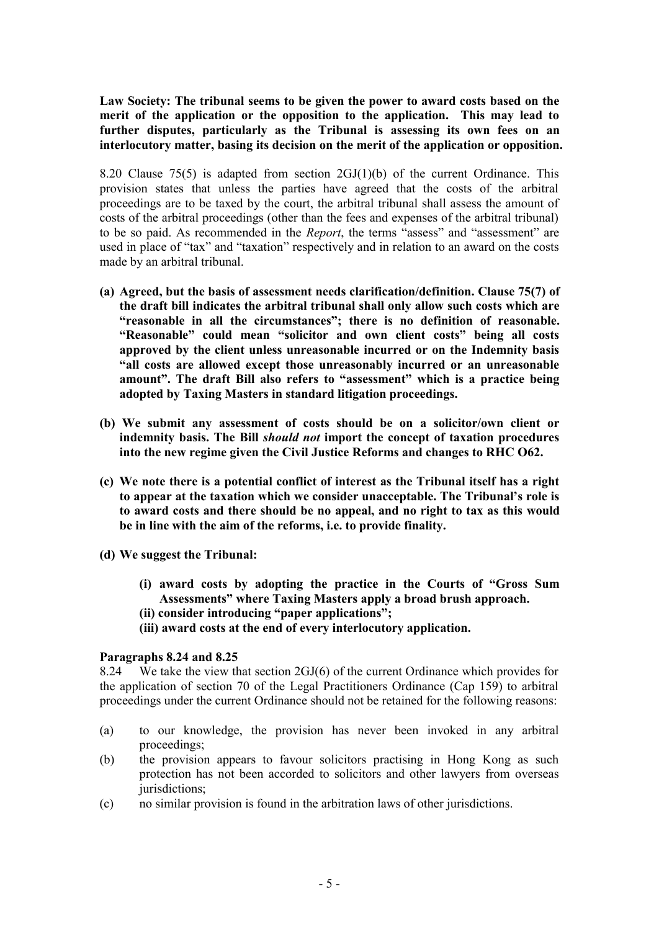**Law Society: The tribunal seems to be given the power to award costs based on the merit of the application or the opposition to the application. This may lead to further disputes, particularly as the Tribunal is assessing its own fees on an interlocutory matter, basing its decision on the merit of the application or opposition.** 

8.20 Clause 75(5) is adapted from section  $2GI(1)(b)$  of the current Ordinance. This provision states that unless the parties have agreed that the costs of the arbitral proceedings are to be taxed by the court, the arbitral tribunal shall assess the amount of costs of the arbitral proceedings (other than the fees and expenses of the arbitral tribunal) to be so paid. As recommended in the *Report*, the terms "assess" and "assessment" are used in place of "tax" and "taxation" respectively and in relation to an award on the costs made by an arbitral tribunal.

- **(a) Agreed, but the basis of assessment needs clarification/definition. Clause 75(7) of the draft bill indicates the arbitral tribunal shall only allow such costs which are "reasonable in all the circumstances"; there is no definition of reasonable. "Reasonable" could mean "solicitor and own client costs" being all costs approved by the client unless unreasonable incurred or on the Indemnity basis "all costs are allowed except those unreasonably incurred or an unreasonable amount". The draft Bill also refers to "assessment" which is a practice being adopted by Taxing Masters in standard litigation proceedings.**
- **(b) We submit any assessment of costs should be on a solicitor/own client or indemnity basis. The Bill** *should not* **import the concept of taxation procedures into the new regime given the Civil Justice Reforms and changes to RHC O62.**
- **(c) We note there is a potential conflict of interest as the Tribunal itself has a right to appear at the taxation which we consider unacceptable. The Tribunal's role is to award costs and there should be no appeal, and no right to tax as this would be in line with the aim of the reforms, i.e. to provide finality.**
- **(d) We suggest the Tribunal:** 
	- **(i) award costs by adopting the practice in the Courts of "Gross Sum Assessments" where Taxing Masters apply a broad brush approach.**
	- **(ii) consider introducing "paper applications";**
	- **(iii) award costs at the end of every interlocutory application.**

#### **Paragraphs 8.24 and 8.25**

8.24 We take the view that section 2GJ(6) of the current Ordinance which provides for the application of section 70 of the Legal Practitioners Ordinance (Cap 159) to arbitral proceedings under the current Ordinance should not be retained for the following reasons:

- (a) to our knowledge, the provision has never been invoked in any arbitral proceedings;
- (b) the provision appears to favour solicitors practising in Hong Kong as such protection has not been accorded to solicitors and other lawyers from overseas jurisdictions;
- (c) no similar provision is found in the arbitration laws of other jurisdictions.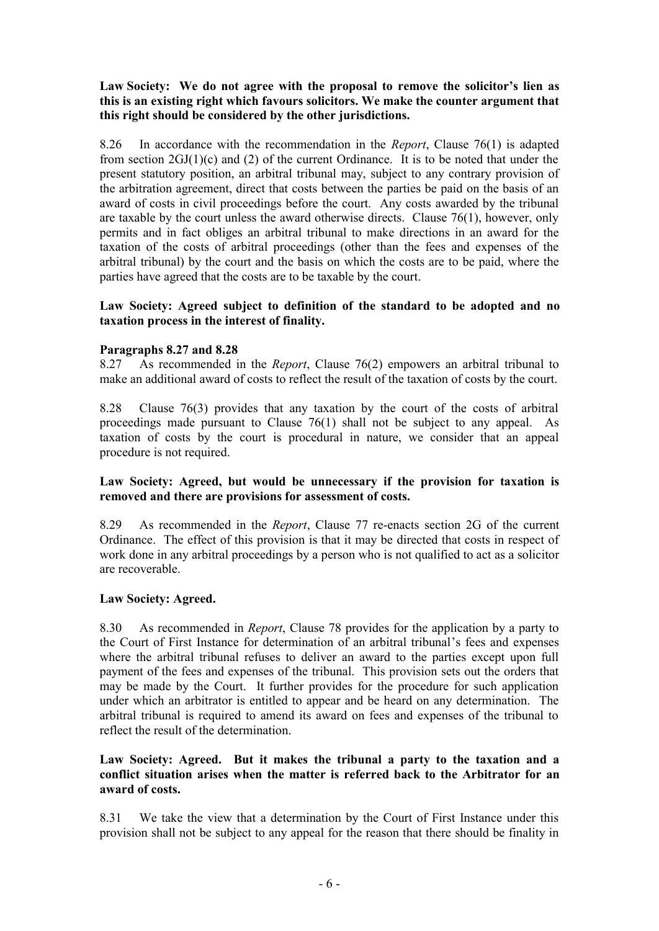### **Law Society: We do not agree with the proposal to remove the solicitor's lien as this is an existing right which favours solicitors. We make the counter argument that this right should be considered by the other jurisdictions.**

8.26 In accordance with the recommendation in the *Report*, Clause 76(1) is adapted from section  $2GI(1)(c)$  and (2) of the current Ordinance. It is to be noted that under the present statutory position, an arbitral tribunal may, subject to any contrary provision of the arbitration agreement, direct that costs between the parties be paid on the basis of an award of costs in civil proceedings before the court. Any costs awarded by the tribunal are taxable by the court unless the award otherwise directs. Clause 76(1), however, only permits and in fact obliges an arbitral tribunal to make directions in an award for the taxation of the costs of arbitral proceedings (other than the fees and expenses of the arbitral tribunal) by the court and the basis on which the costs are to be paid, where the parties have agreed that the costs are to be taxable by the court.

#### **Law Society: Agreed subject to definition of the standard to be adopted and no taxation process in the interest of finality.**

## **Paragraphs 8.27 and 8.28**

8.27 As recommended in the *Report*, Clause 76(2) empowers an arbitral tribunal to make an additional award of costs to reflect the result of the taxation of costs by the court.

8.28 Clause 76(3) provides that any taxation by the court of the costs of arbitral proceedings made pursuant to Clause 76(1) shall not be subject to any appeal. As taxation of costs by the court is procedural in nature, we consider that an appeal procedure is not required.

#### **Law Society: Agreed, but would be unnecessary if the provision for taxation is removed and there are provisions for assessment of costs.**

8.29 As recommended in the *Report*, Clause 77 re-enacts section 2G of the current Ordinance. The effect of this provision is that it may be directed that costs in respect of work done in any arbitral proceedings by a person who is not qualified to act as a solicitor are recoverable.

#### **Law Society: Agreed.**

8.30 As recommended in *Report*, Clause 78 provides for the application by a party to the Court of First Instance for determination of an arbitral tribunal's fees and expenses where the arbitral tribunal refuses to deliver an award to the parties except upon full payment of the fees and expenses of the tribunal. This provision sets out the orders that may be made by the Court. It further provides for the procedure for such application under which an arbitrator is entitled to appear and be heard on any determination. The arbitral tribunal is required to amend its award on fees and expenses of the tribunal to reflect the result of the determination.

#### **Law Society: Agreed. But it makes the tribunal a party to the taxation and a conflict situation arises when the matter is referred back to the Arbitrator for an award of costs.**

8.31 We take the view that a determination by the Court of First Instance under this provision shall not be subject to any appeal for the reason that there should be finality in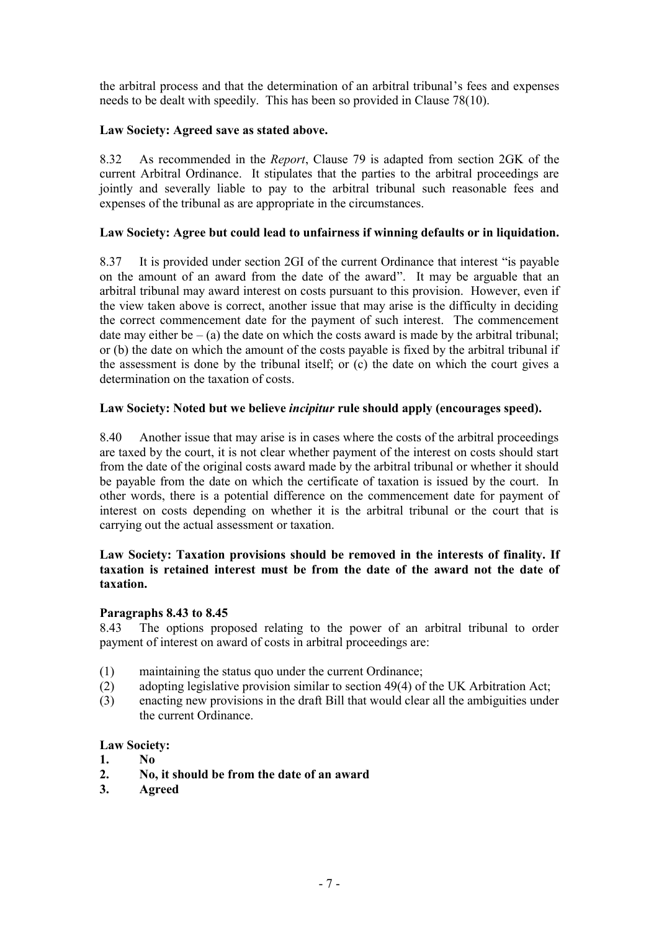the arbitral process and that the determination of an arbitral tribunal's fees and expenses needs to be dealt with speedily. This has been so provided in Clause 78(10).

## **Law Society: Agreed save as stated above.**

8.32 As recommended in the *Report*, Clause 79 is adapted from section 2GK of the current Arbitral Ordinance. It stipulates that the parties to the arbitral proceedings are jointly and severally liable to pay to the arbitral tribunal such reasonable fees and expenses of the tribunal as are appropriate in the circumstances.

### **Law Society: Agree but could lead to unfairness if winning defaults or in liquidation.**

8.37 It is provided under section 2GI of the current Ordinance that interest "is payable on the amount of an award from the date of the award". It may be arguable that an arbitral tribunal may award interest on costs pursuant to this provision. However, even if the view taken above is correct, another issue that may arise is the difficulty in deciding the correct commencement date for the payment of such interest. The commencement date may either be  $-$  (a) the date on which the costs award is made by the arbitral tribunal; or (b) the date on which the amount of the costs payable is fixed by the arbitral tribunal if the assessment is done by the tribunal itself; or (c) the date on which the court gives a determination on the taxation of costs.

## **Law Society: Noted but we believe** *incipitur* **rule should apply (encourages speed).**

8.40 Another issue that may arise is in cases where the costs of the arbitral proceedings are taxed by the court, it is not clear whether payment of the interest on costs should start from the date of the original costs award made by the arbitral tribunal or whether it should be payable from the date on which the certificate of taxation is issued by the court. In other words, there is a potential difference on the commencement date for payment of interest on costs depending on whether it is the arbitral tribunal or the court that is carrying out the actual assessment or taxation.

### **Law Society: Taxation provisions should be removed in the interests of finality. If taxation is retained interest must be from the date of the award not the date of taxation.**

#### **Paragraphs 8.43 to 8.45**

8.43 The options proposed relating to the power of an arbitral tribunal to order payment of interest on award of costs in arbitral proceedings are:

- (1) maintaining the status quo under the current Ordinance;
- (2) adopting legislative provision similar to section 49(4) of the UK Arbitration Act;
- (3) enacting new provisions in the draft Bill that would clear all the ambiguities under the current Ordinance.

#### **Law Society:**

- **1. No**
- **2. No, it should be from the date of an award**
- **3. Agreed**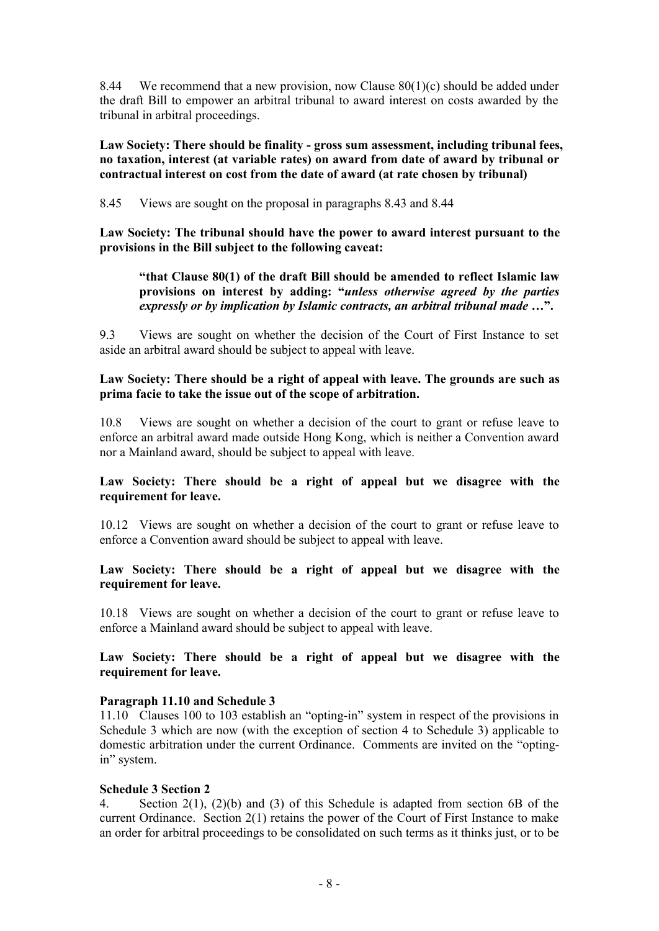8.44 We recommend that a new provision, now Clause  $80(1)(c)$  should be added under the draft Bill to empower an arbitral tribunal to award interest on costs awarded by the tribunal in arbitral proceedings.

**Law Society: There should be finality - gross sum assessment, including tribunal fees, no taxation, interest (at variable rates) on award from date of award by tribunal or contractual interest on cost from the date of award (at rate chosen by tribunal)** 

8.45 Views are sought on the proposal in paragraphs 8.43 and 8.44

**Law Society: The tribunal should have the power to award interest pursuant to the provisions in the Bill subject to the following caveat:** 

## **"that Clause 80(1) of the draft Bill should be amended to reflect Islamic law provisions on interest by adding: "***unless otherwise agreed by the parties expressly or by implication by Islamic contracts, an arbitral tribunal made* **…".**

9.3 Views are sought on whether the decision of the Court of First Instance to set aside an arbitral award should be subject to appeal with leave.

#### **Law Society: There should be a right of appeal with leave. The grounds are such as prima facie to take the issue out of the scope of arbitration.**

10.8 Views are sought on whether a decision of the court to grant or refuse leave to enforce an arbitral award made outside Hong Kong, which is neither a Convention award nor a Mainland award, should be subject to appeal with leave.

#### **Law Society: There should be a right of appeal but we disagree with the requirement for leave.**

10.12 Views are sought on whether a decision of the court to grant or refuse leave to enforce a Convention award should be subject to appeal with leave.

### **Law Society: There should be a right of appeal but we disagree with the requirement for leave.**

10.18 Views are sought on whether a decision of the court to grant or refuse leave to enforce a Mainland award should be subject to appeal with leave.

#### **Law Society: There should be a right of appeal but we disagree with the requirement for leave.**

#### **Paragraph 11.10 and Schedule 3**

11.10 Clauses 100 to 103 establish an "opting-in" system in respect of the provisions in Schedule 3 which are now (with the exception of section 4 to Schedule 3) applicable to domestic arbitration under the current Ordinance. Comments are invited on the "optingin" system.

#### **Schedule 3 Section 2**

4. Section 2(1), (2)(b) and (3) of this Schedule is adapted from section 6B of the current Ordinance. Section 2(1) retains the power of the Court of First Instance to make an order for arbitral proceedings to be consolidated on such terms as it thinks just, or to be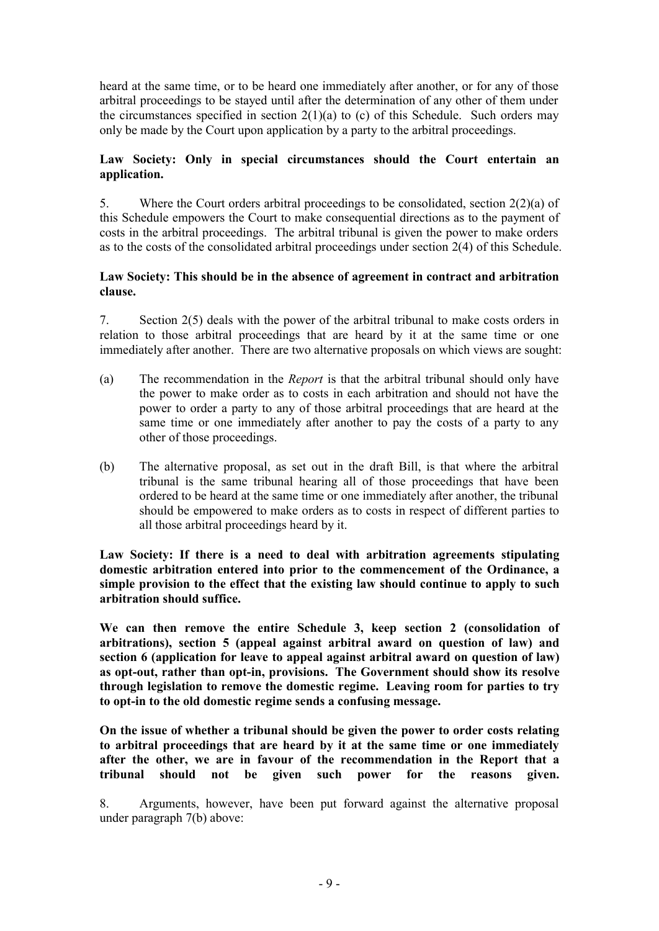heard at the same time, or to be heard one immediately after another, or for any of those arbitral proceedings to be stayed until after the determination of any other of them under the circumstances specified in section  $2(1)(a)$  to (c) of this Schedule. Such orders may only be made by the Court upon application by a party to the arbitral proceedings.

## **Law Society: Only in special circumstances should the Court entertain an application.**

5. Where the Court orders arbitral proceedings to be consolidated, section 2(2)(a) of this Schedule empowers the Court to make consequential directions as to the payment of costs in the arbitral proceedings. The arbitral tribunal is given the power to make orders as to the costs of the consolidated arbitral proceedings under section 2(4) of this Schedule.

#### **Law Society: This should be in the absence of agreement in contract and arbitration clause.**

7. Section 2(5) deals with the power of the arbitral tribunal to make costs orders in relation to those arbitral proceedings that are heard by it at the same time or one immediately after another. There are two alternative proposals on which views are sought:

- (a) The recommendation in the *Report* is that the arbitral tribunal should only have the power to make order as to costs in each arbitration and should not have the power to order a party to any of those arbitral proceedings that are heard at the same time or one immediately after another to pay the costs of a party to any other of those proceedings.
- (b) The alternative proposal, as set out in the draft Bill, is that where the arbitral tribunal is the same tribunal hearing all of those proceedings that have been ordered to be heard at the same time or one immediately after another, the tribunal should be empowered to make orders as to costs in respect of different parties to all those arbitral proceedings heard by it.

**Law Society: If there is a need to deal with arbitration agreements stipulating domestic arbitration entered into prior to the commencement of the Ordinance, a simple provision to the effect that the existing law should continue to apply to such arbitration should suffice.** 

**We can then remove the entire Schedule 3, keep section 2 (consolidation of arbitrations), section 5 (appeal against arbitral award on question of law) and section 6 (application for leave to appeal against arbitral award on question of law) as opt-out, rather than opt-in, provisions. The Government should show its resolve through legislation to remove the domestic regime. Leaving room for parties to try to opt-in to the old domestic regime sends a confusing message.** 

**On the issue of whether a tribunal should be given the power to order costs relating to arbitral proceedings that are heard by it at the same time or one immediately after the other, we are in favour of the recommendation in the Report that a tribunal should not be given such power for the reasons given.** 

8. Arguments, however, have been put forward against the alternative proposal under paragraph 7(b) above: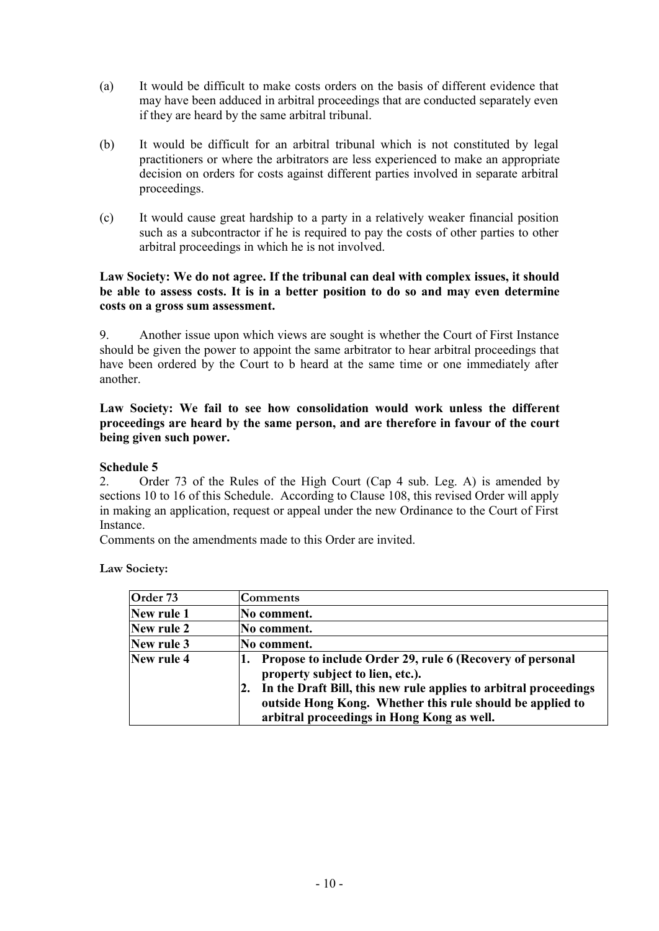- (a) It would be difficult to make costs orders on the basis of different evidence that may have been adduced in arbitral proceedings that are conducted separately even if they are heard by the same arbitral tribunal.
- (b) It would be difficult for an arbitral tribunal which is not constituted by legal practitioners or where the arbitrators are less experienced to make an appropriate decision on orders for costs against different parties involved in separate arbitral proceedings.
- (c) It would cause great hardship to a party in a relatively weaker financial position such as a subcontractor if he is required to pay the costs of other parties to other arbitral proceedings in which he is not involved.

### **Law Society: We do not agree. If the tribunal can deal with complex issues, it should be able to assess costs. It is in a better position to do so and may even determine costs on a gross sum assessment.**

9. Another issue upon which views are sought is whether the Court of First Instance should be given the power to appoint the same arbitrator to hear arbitral proceedings that have been ordered by the Court to b heard at the same time or one immediately after another.

**Law Society: We fail to see how consolidation would work unless the different proceedings are heard by the same person, and are therefore in favour of the court being given such power.** 

## **Schedule 5**

2. Order 73 of the Rules of the High Court (Cap 4 sub. Leg. A) is amended by sections 10 to 16 of this Schedule. According to Clause 108, this revised Order will apply in making an application, request or appeal under the new Ordinance to the Court of First **Instance** 

Comments on the amendments made to this Order are invited.

**Law Society:** 

| Order 73   | Comments                                                                                                                                                                    |
|------------|-----------------------------------------------------------------------------------------------------------------------------------------------------------------------------|
| New rule 1 | No comment.                                                                                                                                                                 |
| New rule 2 | No comment.                                                                                                                                                                 |
| New rule 3 | No comment.                                                                                                                                                                 |
| New rule 4 | Propose to include Order 29, rule 6 (Recovery of personal<br>property subject to lien, etc.).                                                                               |
|            | In the Draft Bill, this new rule applies to arbitral proceedings<br>outside Hong Kong. Whether this rule should be applied to<br>arbitral proceedings in Hong Kong as well. |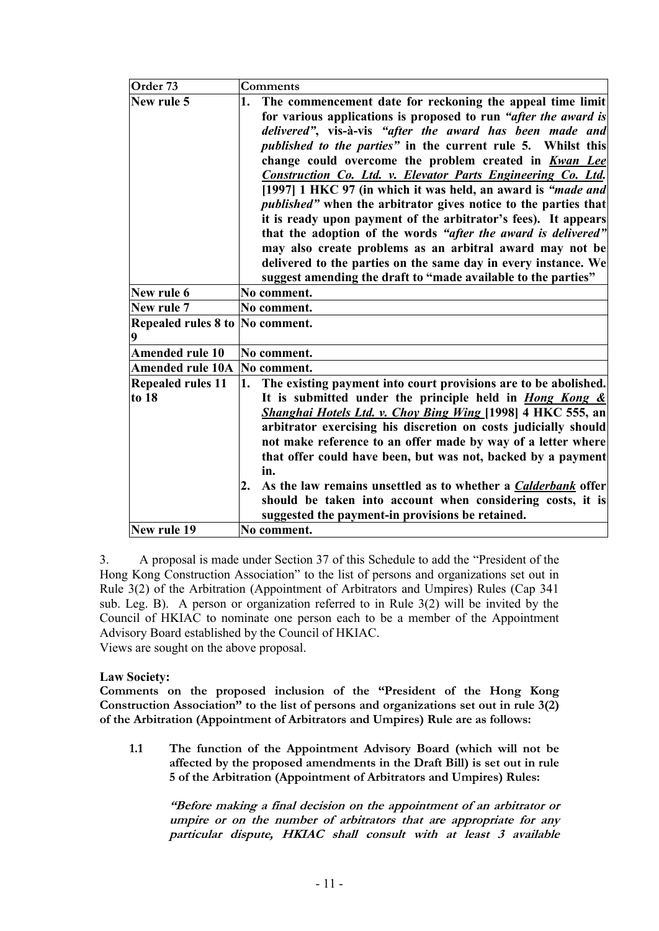| Order <sub>73</sub>             | Comments                                                                   |
|---------------------------------|----------------------------------------------------------------------------|
| New rule 5                      | The commencement date for reckoning the appeal time limit<br>1.            |
|                                 | for various applications is proposed to run "after the award is            |
|                                 | delivered", vis-à-vis "after the award has been made and                   |
|                                 | published to the parties" in the current rule 5. Whilst this               |
|                                 | change could overcome the problem created in Kwan Lee                      |
|                                 | Construction Co. Ltd. v. Elevator Parts Engineering Co. Ltd.               |
|                                 | [1997] 1 HKC 97 (in which it was held, an award is "made and               |
|                                 | <i>published</i> " when the arbitrator gives notice to the parties that    |
|                                 | it is ready upon payment of the arbitrator's fees). It appears             |
|                                 | that the adoption of the words "after the award is delivered"              |
|                                 | may also create problems as an arbitral award may not be                   |
|                                 | delivered to the parties on the same day in every instance. We             |
|                                 | suggest amending the draft to "made available to the parties"              |
| New rule 6                      | No comment.                                                                |
| New rule 7                      | No comment.                                                                |
| Repealed rules 8 to No comment. |                                                                            |
| 9                               |                                                                            |
| <b>Amended rule 10</b>          | No comment.                                                                |
| <b>Amended rule 10A</b>         | No comment.                                                                |
| <b>Repealed rules 11</b>        | The existing payment into court provisions are to be abolished.<br>1.      |
| to 18                           | It is submitted under the principle held in <i>Hong Kong &amp;</i>         |
|                                 | Shanghai Hotels Ltd. v. Choy Bing Wing [1998] 4 HKC 555, an                |
|                                 | arbitrator exercising his discretion on costs judicially should            |
|                                 | not make reference to an offer made by way of a letter where               |
|                                 | that offer could have been, but was not, backed by a payment               |
|                                 | in.                                                                        |
|                                 | As the law remains unsettled as to whether a <i>Calderbank</i> offer<br>2. |
|                                 | should be taken into account when considering costs, it is                 |
|                                 | suggested the payment-in provisions be retained.                           |
| New rule 19                     | No comment.                                                                |

3. A proposal is made under Section 37 of this Schedule to add the "President of the Hong Kong Construction Association" to the list of persons and organizations set out in Rule 3(2) of the Arbitration (Appointment of Arbitrators and Umpires) Rules (Cap 341 sub. Leg. B). A person or organization referred to in Rule 3(2) will be invited by the Council of HKIAC to nominate one person each to be a member of the Appointment Advisory Board established by the Council of HKIAC. Views are sought on the above proposal.

#### **Law Society:**

**Comments on the proposed inclusion of the "President of the Hong Kong Construction Association" to the list of persons and organizations set out in rule 3(2) of the Arbitration (Appointment of Arbitrators and Umpires) Rule are as follows:** 

**1.1 The function of the Appointment Advisory Board (which will not be affected by the proposed amendments in the Draft Bill) is set out in rule 5 of the Arbitration (Appointment of Arbitrators and Umpires) Rules:** 

*"Before making <sup>a</sup> final decision on the appointment of an arbitrator or umpire or on the number of arbitrators that are appropriate for any particular dispute, HKIAC shall consult with at least 3 available*